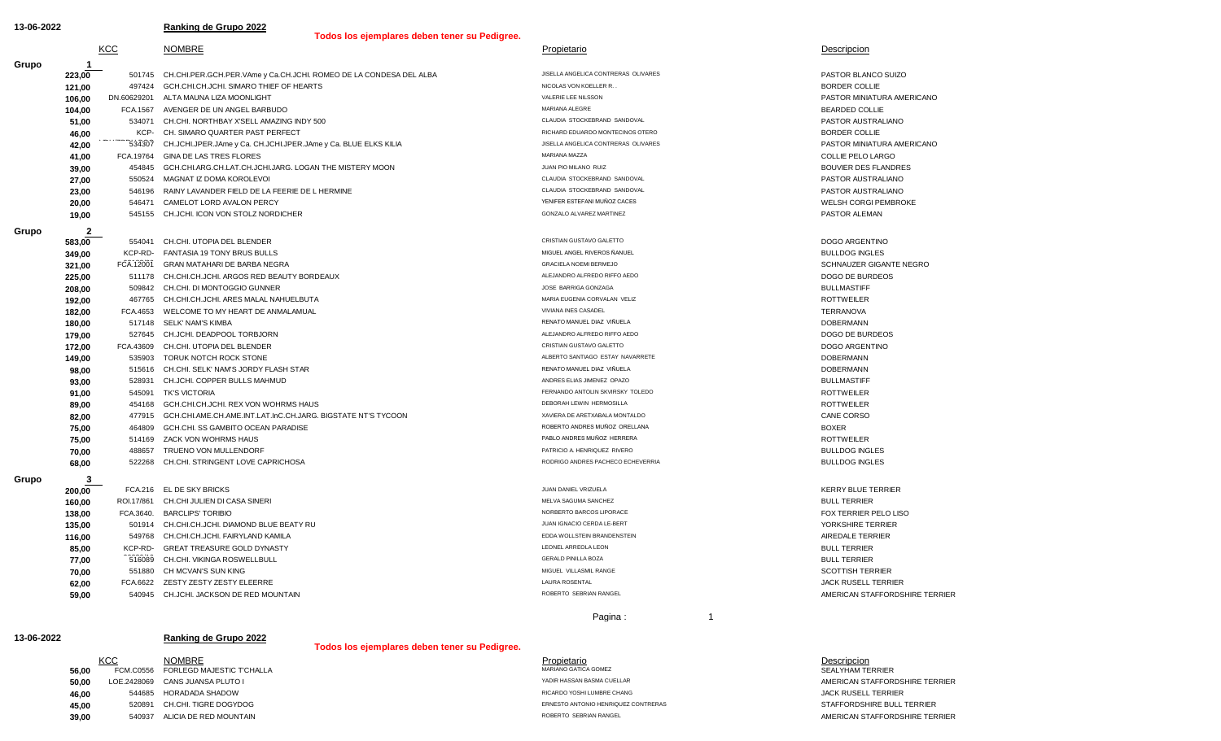**Grupo** 

**Grupo** 

**13-06-2022 Ranking de Grupo 2022**

**Todos los ejemplares deben tener su Pedigree.** 

| Todos los ejemplares deben tener su Hedigree. |     |  |                                                                           |                                     |                     |
|-----------------------------------------------|-----|--|---------------------------------------------------------------------------|-------------------------------------|---------------------|
|                                               | KCC |  | <b>NOMBRE</b>                                                             | Propietario                         | Descripcion         |
|                                               |     |  |                                                                           |                                     |                     |
| 223.00                                        |     |  | 501745 CH.CHI.PER.GCH.PER.VAme y Ca.CH.JCHI. ROMEO DE LA CONDESA DEL ALBA | JISELLA ANGELICA CONTRERAS OLIVARES | PASTOR BLANCO SUIZO |
| 121.00                                        |     |  | 497424 GCH.CHI.CH.JCHI. SIMARO THIEF OF HEARTS                            | NICOLAS VON KOELLER R               | BORDER COLLIE       |

**62,00** FCA.6622 ZESTY ZESTY ZESTY ELEERRE LAURA ROSENTAL JACK RUSELL TERRIER **59,00** 540945 CH.JCHI. JACKSON DE RED MOUNTAIN RED RED MOUNTAIN ROBERTO SEBRIAN RANGEL **AMERICAN STAFFORDSHIRE TERRIER 77,00** 516089 CH.CHI. VIKINGA ROSWELLBULL GERALD PINILLA BOZA GERALD PINILLA BOZA BULL TERRIER GERALD PINILLA BOZA **70,00** 551880 CH MCVAN'S SUN KING MIGUEL VILLASMIL RANGE SCOTTISH TERRIER **116,00** 549768 CH.CHI.CH.JCHI. FAIRYLAND KAMILA EDDA WOLLSTEIN BRANDENSTEIN AIREDALE TERRIER GREAT TREASURE GOLD DYNASTY **EXABLE ARREOLA LEONEL ARREOLA LEONEL ARREOLA LEONEL ARREOLA LEONEL ARREOLA LEONEL ARREOLA LEONEL ARREOLA LEONEL ARREOLA LEONEL ARREOLA LEONEL ARREOLA LEONEL ARREOLA LEONEL ARREOLA LEONEL ARREOL 138,00** FCA.3640. BARCLIPS' TORIBIO NORBERTO BARCOS LIPORACE FOX TERRIER PELO LISO **135,00** 501914 CH.CHI.CH.JCHI. DIAMOND BLUE BEATY RU **STANDER SERIER SERIER SERIER SERIER SERIER SERIER SERIER SERIER SERIER** TERRIER SERIER SERIER SERIER SERIER SERIER SERIER SERIER SERIER SERIER SERIER SERIER SERIER SER **200,00** FCA.216 EL DE SKY BRICKS **FOUR DESIGN CONTRACT CONTRACT CONTRACT A CONTRACT CONTRACT CONTRACT CONTRACT CONTRACT CONTRACT CONTRACT CONTRACT CONTRACT CONTRACT CONTRACT CONTRACT CONTRACT CONTRACT CONTRACT CONTRACT CO 160,00** ROI.17/861 CH.CHI JULIEN DI CASA SINERI MELVA SAGUMA SANCHEZ MELVA SAGUMA SANCHEZ BULL TERRIER BULL TERRIER **68,00** 522268 CH.CHI. STRINGENT LOVE CAPRICHOSA **RODRIGO ANDRES PACHECO ECHECO ECHEVERRIA** BULLDOG INGLES **75.00** 514169 ZACK VON WOHRMS HAUS **PABLO ANDRES MUÑOZ HERRERA** PABLO ANDRES MUÑOZ HERRERA ROTTWEILER **70.00** 488657 TRUENO VON MULLENDORF **PATRICIO A. HENRIQUEZ RIVERO BULLDOG INGLES 82,00** 477915 GCH.CHI.AME.CH.AME.INT.LAT.InC.CH.JARG. BIGSTATE NT'S TYCOON XAVIERA DE ARETXABALA MONTALDO **ARETXABALA MONTALDO 75,00** 464809 GCH.CHI. SS GAMBITO OCEAN PARADISE **A CONSTRUITION CONSTRUITION** ROBERTO ANDRES MUÑOZ ORELLANA **91,00** 545091 TK'S VICTORIA FERNANDO ANTOLIN SKVIRSKY TOLEDO FERNANDO ANTOLIN SKVIRSKY TOLEDO FERNANDO ANTOLIN SKVIRSKY TOLEDO FERNANDO ANTOLIN SKVIRSKY TOLEDO FERNANDO ANTOLIN SKVIRSKY TOLEDO FERNANDO ANTOLIN SKVIRSKY TO **89,00** 454168 GCH.CHI.CH.JCHI. REX VON WOHRMS HAUS **And Account a computer of the CONTROSILLA** ROTTWEILER **98,00** 515616 CH.CHI. SELK' NAM'S JORDY FLASH STAR STAR RENATO MANUEL DIAZ VIÑUELA DOBERMANN DOBERMANN DOBERMANN<br>193.00 528931 CH.ICHI COPPER RII I S.MAHMI ID **93,00** 528931 CH.JCHI. COPPER BULLS MAHMUD **ANDRES ELIAS ANDRES ELIAS JIMENEZ OPAZO** ANDRES ELIAS JIMENEZ OPAZO **172,00** FCA.43609 CH.CHI. UTOPIA DEL BLENDER CRISTIAN CUSTAVO GALETTO CRISTIAN GUSTAVO GALETTO **DOGO ARGENTINO 149,00** 535903 TORUK NOTCH ROCK STONE ALBERTO SANTIAGO ESTAY NAVARRETE ALBERTO SANTIAGO ESTAY NAVARRETE DOBERMANN **180,00** 517148 SELK' NAM'S KIMBA RENATO MANUEL DIAZ VIÑUELA DOBERMANN **179,00** 527645 CH.JCHI. DEADPOOL TORBJORN **ALEJANDRO ALFREDO RIFFO ALEJANDRO ALFREDO RIFFO AEDO** DOGO DE BURDEOS **192,00** 467765 CH.CHI.CH.JCHI. ARES MALAL NAHUELBUTA MARIA EUGENIA CORVALAN VELIZ ARES MARIA EUGENIA CORVALAN VELIZ ROTTWEILER **182,00** FCA.4653 WELCOME TO MY HEART DE ANMALAMUAL COMPUTE TO MANIC VIVIANA INTERRANOVA INTERRANOVA INTERRANOVA<br>190.00 517148 SELK' NAM'S KIMBA **225,00** 511178 CH.CHI.CH.JCHI. ARGOS RED BEAUTY BORDEAUX **ALEJANDRO ALEGANDRO ALFREDO RIFFO AEDO** DE BURDEOS DE BURDEOS **208,00** 509842 CH.CHI. DI MONTOGGIO GUNNER JOSE BARRIGA GONZAGA BULLMASTIFF **FANTASIA 19 TONY BRUS BULLS CONTRIBUTION CONTRIBUTION** MIGUEL ANGEL ANGEL ANGEL RIVEROS ÑANUEL ANGEL RIVEROS ÑANUEL **321,00** FCA.12001 GRAN MATAHARI DE BARBA NEGRA GRACIELA NOEMI BERMEJO GRACIELA NOEMI BERMEJO SCHNAUZER GIGANTE NEGRO **583,00** 554041 CH.CHI. UTOPIA DEL BLENDER CRISTIAN GUSTAVO GALETTO DOGO ARGENTINO **20,00** 546471 CAMELOT LORD AVALON PERCY **ALGO AVALON PERCY AND AVALOUS** YENIFER ESTEFANI MUÑOZ CACES WELSH CORGI PEMBROKE **19,00** 545155 CH.JCHI. ICON VON STOLZ NORDICHER **SONZALO ALVAREZ MARTINEZ GONZALO ALVAREZ MARTINEZ PASTOR ALEMAN 27,00** 550524 MAGNAT IZ DOMA KOROLEVOI CLAUDIA STOCKEBRAND SANDOVAL PASTOR AUSTRALIANO **23,00** 546196 RAINY LAVANDER FIELD DE LA FEERIE DE L HERMINE CLAUDIA STOCKEBRAND SANDOVAL CLAUDIA STOCKEBRAND SANDOVAL **41,00** FCA.19764 GINA DE LAS TRES FLORES MARIANA MAZZA COLLIE PELO LARGO **39,00** 454845 GCH.CHI.ARG.CH.LAT.CH.JCHI.JARG. LOGAN THE MISTERY MOON **And A SECUTER DES FLANDRES** ELANDRES FLANDRES CH. SIMARO QUARTER PAST PERFECT **EXECUTES** COLLIE **42,00**  $\overline{1}$   $\overline{1}$   $\overline{3}$   $\overline{4}$   $\overline{3}$   $\overline{3}$   $\overline{3}$   $\overline{3}$   $\overline{3}$   $\overline{3}$   $\overline{3}$   $\overline{3}$   $\overline{3}$   $\overline{3}$   $\overline{3}$   $\overline{3}$   $\overline{3}$   $\overline{3}$   $\overline{3}$   $\overline{3}$   $\overline{3}$   $\overline{3}$   $\overline{3}$   $\overline{3}$ **104,00** FCA.1567 AVENGER DE UN ANGEL BARBUDO **EXAMPLE ANGELE BARBUDO MARIANA ALEGRE** BEARDED COLLIE **51,00** 534071 CH.CHI. NORTHBAY X'SELL AMAZING INDY 500 CLAUDIA STOCKEBRAND SANDOVAL CLAUDIA STOCKEBRAND SANDOVAL **106,00** DN.60629201 ALTA MAUNA LIZA MOONLIGHT VALERIE LEE NILSSON PASTOR MINIATURA AMERICANO

**Grupo** 

## **13-06-2022 Ranking de Grupo 2022**

## **Todos los ejemplares deben tener su Pedigree.**

**NOMBRE**<br>FORLEGD MAJESTIC T'CHALLA **39,00** 540937 ALICIA DE RED MOUNTAIN **STAFFORDSHIRE TERRIER ROBERTO SEBRIAN RANGEL ROBERTO SEBRIAN RANGEL AMERICAN STAFFORDSHIRE TERRIER 46,00** 544685 HORADADA SHADOW RICARDO YOSHI LUMBRE CHANG JACK RUSELL TERRIER **45,00** 520891 CH.CHI. TIGRE DOGYDOG **ERRIER ERNESTO ANTONIO HERRIQUEZ CONTRERAS STAFFORDSHIRE BULL TERRIER 56,00** FCM.C0556 FORLEGD MAJESTIC T'CHALLA MARIANO GATICA GOMEZ MARIANO GATICA GOMEZ SEALYHAM TERRIER SEALYHAM TERRIER **50,00** LOE.2428069 CANS JUANSA PLUTO I **ADIR HASSAN BASMA CUELLAR** AMERICAN STATE AMERICAN STAFFORDSHIRE TERRIER KCC NOMBRE NEWSLET DESCRIPCION NEWSLET DESCRIPCION DESCRIPCION DESCRIPCION

**85,00** KCP-RD-

**349,00** KCP-RD-

**46,00** KCP-

**2**

FCA.12001

 $\overline{534307}$ 

**3**

516089

Pagina : 1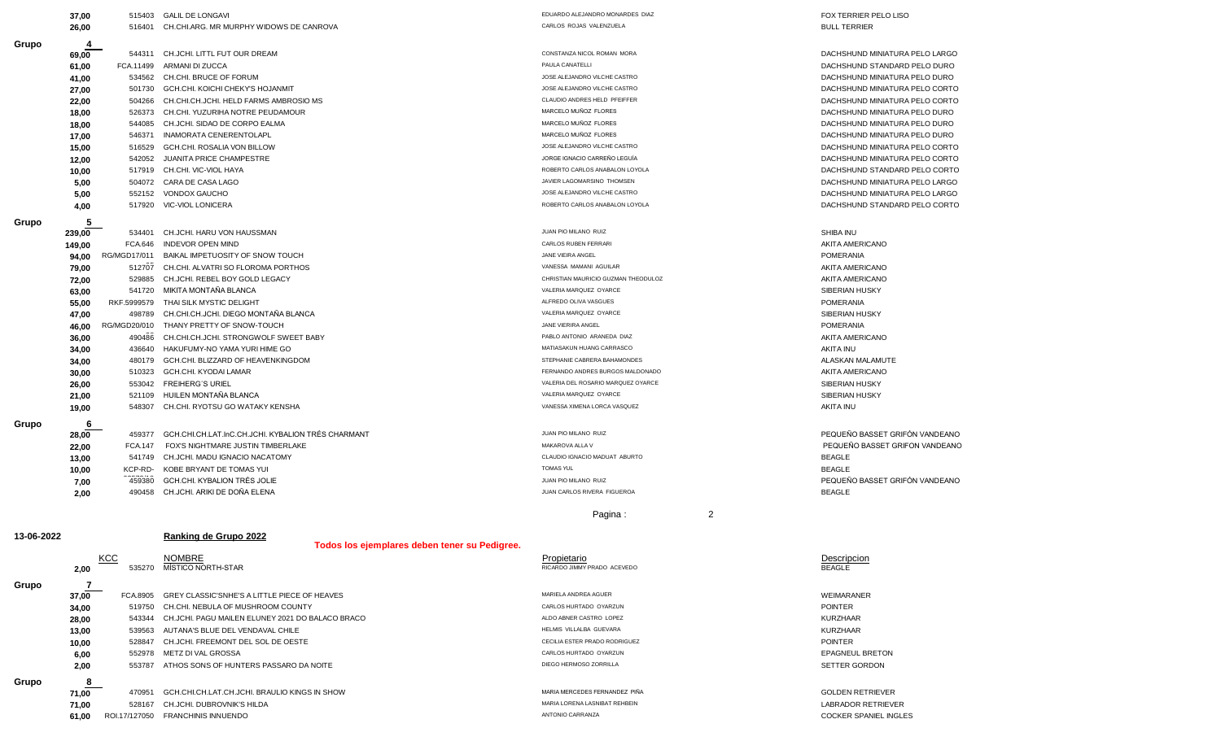| Grupo      | 4      |                |                                                         |                                     |                                |
|------------|--------|----------------|---------------------------------------------------------|-------------------------------------|--------------------------------|
|            | 69,00  |                | 544311 CH.JCHI. LITTL FUT OUR DREAM                     | CONSTANZA NICOL ROMAN MORA          | DACHSHUND MINIATURA PELO LARGO |
|            | 61,00  | FCA.11499      | ARMANI DI ZUCCA                                         | PAULA CANATELLI                     | DACHSHUND STANDARD PELO DURO   |
|            | 41,00  | 534562         | CH.CHI. BRUCE OF FORUM                                  | JOSE ALEJANDRO VILCHE CASTRO        | DACHSHUND MINIATURA PELO DURO  |
|            | 27,00  | 501730         | GCH.CHI. KOICHI CHEKY'S HOJANMIT                        | JOSE ALEJANDRO VILCHE CASTRO        | DACHSHUND MINIATURA PELO CORTO |
|            | 22,00  | 504266         | CH.CHI.CH.JCHI. HELD FARMS AMBROSIO MS                  | CLAUDIO ANDRES HELD PFEIFFER        | DACHSHUND MINIATURA PELO CORTO |
|            | 18,00  | 526373         | CH.CHI. YUZURIHA NOTRE PEUDAMOUR                        | MARCELO MUÑOZ FLORES                | DACHSHUND MINIATURA PELO DURO  |
|            | 18,00  | 544085         | CH.JCHI. SIDAO DE CORPO EALMA                           | MARCELO MUÑOZ FLORES                | DACHSHUND MINIATURA PELO DURO  |
|            | 17,00  | 546371         | <b>INAMORATA CENERENTOLAPL</b>                          | MARCELO MUÑOZ FLORES                | DACHSHUND MINIATURA PELO DURO  |
|            | 15,00  | 516529         | GCH.CHI. ROSALIA VON BILLOW                             | JOSE ALEJANDRO VILCHE CASTRO        | DACHSHUND MINIATURA PELO CORTO |
|            | 12,00  | 542052         | <b>JUANITA PRICE CHAMPESTRE</b>                         | JORGE IGNACIO CARREÑO LEGUÍA        | DACHSHUND MINIATURA PELO CORTO |
|            | 10,00  | 517919         | CH.CHI. VIC-VIOL HAYA                                   | ROBERTO CARLOS ANABALON LOYOLA      | DACHSHUND STANDARD PELO CORTO  |
|            | 5,00   | 504072         | CARA DE CASA LAGO                                       | JAVIER LAGOMARSINO THOMSEN          | DACHSHUND MINIATURA PELO LARGO |
|            | 5,00   | 552152         | VONDOX GAUCHO                                           | JOSE ALEJANDRO VILCHE CASTRO        | DACHSHUND MINIATURA PELO LARGO |
|            | 4,00   | 517920         | <b>VIC-VIOL LONICERA</b>                                | ROBERTO CARLOS ANABALON LOYOLA      | DACHSHUND STANDARD PELO CORTO  |
|            |        |                |                                                         |                                     |                                |
| Grupo      | 5      |                |                                                         | JUAN PIO MILANO RUIZ                |                                |
|            | 239,00 | 534401         | CH.JCHI. HARU VON HAUSSMAN                              | CARLOS RUBEN FERRARI                | SHIBA INU                      |
|            | 149,00 | FCA.646        | <b>INDEVOR OPEN MIND</b>                                | JANE VIEIRA ANGEL                   | AKITA AMERICANO                |
|            | 94,00  | RG/MGD17/011   | BAIKAL IMPETUOSITY OF SNOW TOUCH                        |                                     | <b>POMERANIA</b>               |
|            | 79,00  | 512707         | CH.CHI. ALVATRI SO FLOROMA PORTHOS                      | VANESSA MAMANI AGUILAR              | AKITA AMERICANO                |
|            | 72,00  | 529885         | CH.JCHI. REBEL BOY GOLD LEGACY                          | CHRISTIAN MAURICIO GUZMAN THEODULOZ | AKITA AMERICANO                |
|            | 63,00  | 541720         | MIKITA MONTAÑA BLANCA                                   | VALERIA MARQUEZ OYARCE              | SIBERIAN HUSKY                 |
|            | 55,00  | RKF.5999579    | THAI SILK MYSTIC DELIGHT                                | ALFREDO OLIVA VASGUES               | <b>POMERANIA</b>               |
|            | 47,00  | 498789         | CH.CHI.CH.JCHI. DIEGO MONTAÑA BLANCA                    | VALERIA MARQUEZ OYARCE              | SIBERIAN HUSKY                 |
|            | 46,00  | RG/MGD20/010   | THANY PRETTY OF SNOW-TOUCH                              | JANE VIERIRA ANGEL                  | <b>POMERANIA</b>               |
|            | 36,00  | 490486         | CH.CHI.CH.JCHI. STRONGWOLF SWEET BABY                   | PABLO ANTONIO ARANEDA DIAZ          | AKITA AMERICANO                |
|            | 34,00  | 436640         | HAKUFUMY-NO YAMA YURI HIME GO                           | MATIASAKUN HUANG CARRASCO           | <b>AKITA INU</b>               |
|            | 34,00  | 480179         | GCH.CHI. BLIZZARD OF HEAVENKINGDOM                      | STEPHANIE CABRERA BAHAMONDES        | ALASKAN MALAMUTE               |
|            | 30,00  | 510323         | GCH.CHI. KYODAI LAMAR                                   | FERNANDO ANDRES BURGOS MALDONADO    | AKITA AMERICANO                |
|            | 26,00  | 553042         | <b>FREIHERG'S URIEL</b>                                 | VALERIA DEL ROSARIO MARQUEZ OYARCE  | <b>SIBERIAN HUSKY</b>          |
|            | 21,00  | 521109         | HUILEN MONTAÑA BLANCA                                   | VALERIA MARQUEZ OYARCE              | SIBERIAN HUSKY                 |
|            | 19,00  | 548307         | CH.CHI. RYOTSU GO WATAKY KENSHA                         | VANESSA XIMENA LORCA VASQUEZ        | <b>AKITA INU</b>               |
| Grupo      | 6      |                |                                                         |                                     |                                |
|            | 28,00  | 459377         | GCH.CHI.CH.LAT.InC.CH.JCHI. KYBALION TRÉS CHARMANT      | JUAN PIO MILANO RUIZ                | PEQUEÑO BASSET GRIFÓN VANDEANO |
|            | 22,00  | <b>FCA.147</b> | FOX'S NIGHTMARE JUSTIN TIMBERLAKE                       | MAKAROVA ALLA V                     | PEQUEÑO BASSET GRIFON VANDEANO |
|            | 13,00  | 541749         | CH.JCHI. MADU IGNACIO NACATOMY                          | CLAUDIO IGNACIO MADUAT ABURTO       | <b>BEAGLE</b>                  |
|            | 10,00  | KCP-RD-        | KOBE BRYANT DE TOMAS YUI                                | <b>TOMAS YUL</b>                    | <b>BEAGLE</b>                  |
|            | 7,00   | 459380         | GCH.CHI. KYBALION TRÉS JOLIE                            | JUAN PIO MILANO RUIZ                | PEQUEÑO BASSET GRIFÓN VANDEANO |
|            | 2,00   | 490458         | CH.JCHI. ARIKI DE DOÑA ELENA                            | JUAN CARLOS RIVERA FIGUEROA         | <b>BEAGLE</b>                  |
|            |        |                |                                                         |                                     |                                |
|            |        |                |                                                         | $\overline{2}$<br>Pagina:           |                                |
|            |        |                |                                                         |                                     |                                |
| 13-06-2022 |        |                | Ranking de Grupo 2022                                   |                                     |                                |
|            |        |                | Todos los ejemplares deben tener su Pedigree.           |                                     |                                |
|            |        | KCC            | <b>NOMBRE</b>                                           | Propietario                         | Descripcion                    |
|            | 2.00   |                | 535270 MÍSTICO NORTH-STAR                               | RICARDO JIMMY PRADO ACEVEDO         | <b>BEAGLE</b>                  |
| Grupo      | 7      |                |                                                         |                                     |                                |
|            | 37,00  |                | FCA.8905 GREY CLASSIC'SNHE'S A LITTLE PIECE OF HEAVES   | MARIELA ANDREA AGUER                | WEIMARANER                     |
|            | 34,00  |                | 519750 CH.CHI, NEBULA OF MUSHROOM COUNTY                | CARLOS HURTADO OYARZUN              | <b>POINTER</b>                 |
|            | 28,00  |                | 543344 CH.JCHI. PAGU MAILEN ELUNEY 2021 DO BALACO BRACO | ALDO ABNER CASTRO LOPEZ             | KURZHAAR                       |
|            | 13,00  |                | 539563 AUTANA'S BLUE DEL VENDAVAL CHILE                 | HELMIS VILLALBA GUEVARA             | <b>KURZHAAR</b>                |
|            | 10,00  |                | 528847 CH.JCHI. FREEMONT DEL SOL DE OESTE               | CECILIA ESTER PRADO RODRIGUEZ       | POINTER                        |
|            |        |                | 552978 METZ DI VAL GROSSA                               | CARLOS HURTADO OYARZUN              | <b>EPAGNEUL BRETON</b>         |
|            | 6,00   |                | 553787 ATHOS SONS OF HUNTERS PASSARO DA NOITE           | DIEGO HERMOSO ZORRILLA              | SETTER GORDON                  |
|            | 2,00   |                |                                                         |                                     |                                |
| Grupo      | 8      |                |                                                         |                                     |                                |
|            | 71,00  |                | 470951 GCH.CHI.CH.LAT.CH.JCHI. BRAULIO KINGS IN SHOW    | MARIA MERCEDES FERNANDEZ PIÑA       | <b>GOLDEN RETRIEVER</b>        |
|            | 71,00  | 528167         | CH.JCHI. DUBROVNIK'S HILDA                              | MARIA LORENA LASNIBAT REHBEIN       | LABRADOR RETRIEVER             |
|            | 61,00  |                | ROI.17/127050 FRANCHINIS INNUENDO                       | ANTONIO CARRANZA                    | <b>COCKER SPANIEL INGLES</b>   |

**26,00** 516401 CH.CHI.ARG. MR MURPHY WIDOWS DE CANROVA CARLOS ROJAS CARLOS ROJAS VALENZUELA BULL TERRIER BULL TERRIER **37,00** 515403 GALIL DE LONGAVI **EDUARDO ALEJANDRO ALEJANDRO MONARDES DIAZ** FOX TERRIER PELO LISO